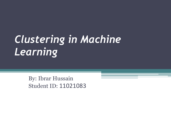# *Clustering in Machine Learning*

By: Ibrar Hussain Student ID: 11021083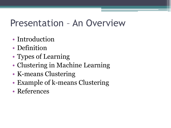#### Presentation – An Overview

- Introduction
- Definition
- Types of Learning
- Clustering in Machine Learning
- K-means Clustering
- Example of k-means Clustering
- References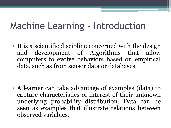### Machine Learning - Introduction

• It is a scientific discipline concerned with the design and development of Algorithms that allow computers to evolve behaviors based on empirical data, such as from sensor data or databases.

• A learner can take advantage of examples (data) to capture characteristics of interest of their unknown underlying probability distribution. Data can be seen as examples that illustrate relations between observed variables.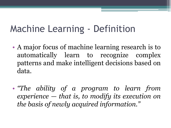### Machine Learning - Definition

- A major focus of machine learning research is to automatically learn to recognize complex patterns and make intelligent decisions based on data.
- *"The ability of a program to learn from experience — that is, to modify its execution on the basis of newly acquired information."*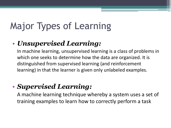## Major Types of Learning

#### • *Unsupervised Learning:*

In machine learning, unsupervised learning is a class of problems in which one seeks to determine how the data are organized. It is distinguished from supervised learning (and reinforcement learning) in that the learner is given only unlabeled examples.

#### • *Supervised Learning:*

A machine learning technique whereby a system uses a set of training examples to learn how to correctly perform a task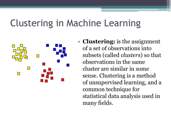#### Clustering in Machine Learning



• **Clustering:** is the assignment of a set of observations into subsets (called *clusters*) so that observations in the same cluster are similar in some sense. Clustering is a method of unsupervised learning, and a common technique for statistical data analysis used in many fields.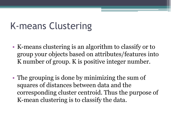### K-means Clustering

- K-means clustering is an algorithm to classify or to group your objects based on attributes/features into K number of group. K is positive integer number.
- The grouping is done by minimizing the sum of squares of distances between data and the corresponding cluster centroid. Thus the purpose of K-mean clustering is to classify the data.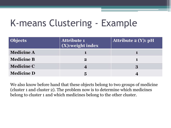## K-means Clustering - Example

| <b>Objects</b>    | <b>Attribute 1</b><br>$\boxed{\textbf{(X)}}$ :weight index | Attribute $2(Y)$ : pH |  |
|-------------------|------------------------------------------------------------|-----------------------|--|
| <b>Medicine A</b> |                                                            |                       |  |
| <b>Medicine B</b> | $\bf{2}$                                                   |                       |  |
| <b>Medicine C</b> |                                                            | 3                     |  |
| <b>Medicine D</b> | 5                                                          |                       |  |

We also know before hand that these objects belong to two groups of medicine (cluster 1 and cluster 2). The problem now is to determine which medicines belong to cluster 1 and which medicines belong to the other cluster.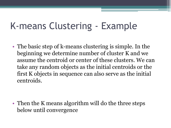### K-means Clustering - Example

• The basic step of k-means clustering is simple. In the beginning we determine number of cluster K and we assume the centroid or center of these clusters. We can take any random objects as the initial centroids or the first K objects in sequence can also serve as the initial centroids.

• Then the K means algorithm will do the three steps below until convergence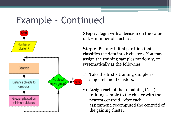#### Example - Continued



**Step 1**. Begin with a decision on the value of  $k =$  number of clusters.

**Step 2**. Put any initial partition that classifies the data into k clusters. You may assign the training samples randomly, or systematically as the following:

- 1) Take the first k training sample as single-element clusters.
- 2) Assign each of the remaining (N-k) training sample to the cluster with the nearest centroid. After each assignment, recomputed the centroid of the gaining cluster.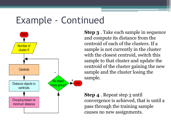#### Example - Continued



**Step 3** . Take each sample in sequence and compute its distance from the centroid of each of the clusters. If a sample is not currently in the cluster with the closest centroid, switch this sample to that cluster and update the centroid of the cluster gaining the new sample and the cluster losing the sample.

**Step 4** . Repeat step 3 until convergence is achieved, that is until a pass through the training sample causes no new assignments.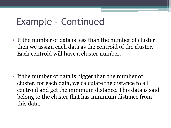#### Example - Continued

• If the number of data is less than the number of cluster then we assign each data as the centroid of the cluster. Each centroid will have a cluster number.

• If the number of data is bigger than the number of cluster, for each data, we calculate the distance to all centroid and get the minimum distance. This data is said belong to the cluster that has minimum distance from this data.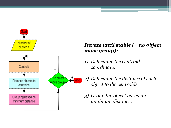

#### *Iterate until stable (= no object move group):*

- *1) Determine the centroid coordinate.*
- *2) Determine the distance of each object to the centroids.*
- *3) Group the object based on minimum distance.*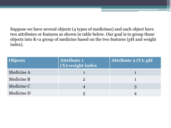Suppose we have several objects (4 types of medicines) and each object have two attributes or features as shown in table below. Our goal is to group these objects into K=2 group of medicine based on the two features (pH and weight index).

| <b>Objects</b> | <b>Attribute 1</b><br>(X):weight index | <b>Attribute 2 (Y): pH</b> |  |
|----------------|----------------------------------------|----------------------------|--|
| Medicine A     |                                        |                            |  |
| Medicine B     | $\overline{2}$                         |                            |  |
| Medicine C     |                                        |                            |  |
| Medicine D     |                                        |                            |  |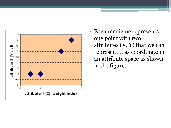

• Each medicine represents one point with two attributes  $(X, Y)$  that we can represent it as coordinate in an attribute space as shown in the figure.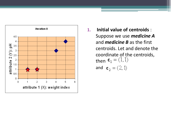

**1. Initial value of centroids** : Suppose we use *medicine A* and *medicine B* as the first centroids. Let and denote the coordinate of the centroids, then  $$ 

and 
$$
\mathbf{c}_2 = (2, 1)
$$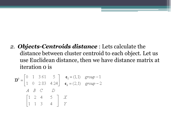*2. Objects-Centroids distance* : Lets calculate the distance between cluster centroid to each object. Let us use Euclidean distance, then we have distance matrix at iteration 0 is

$$
\mathbf{D}^{0} = \begin{bmatrix} 0 & 1 & 3.61 & 5 \\ 1 & 0 & 2.83 & 4.24 \end{bmatrix} \begin{matrix} \mathbf{c}_{1} = (1,1) & \text{group}-1 \\ \mathbf{c}_{2} = (2,1) & \text{group}-2 \\ A & B & C & D \\ 1 & 1 & 3 & 4 \end{matrix}
$$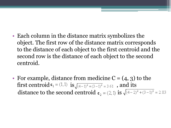- Each column in the distance matrix symbolizes the object. The first row of the distance matrix corresponds to the distance of each object to the first centroid and the second row is the distance of each object to the second centroid.
- For example, distance from medicine  $C = (4, 3)$  to the first centroid  $\mathbf{r}_1 = (1,1)$  is  $\sqrt{(4-1)^2 + (3-1)^2} = 3.61$ , and its distance to the second centroid  $c_2 = (2, 1)$  is  $\sqrt{(4-2)^2 + (3-1)^2} = 2.83$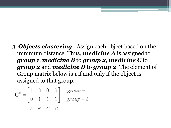3. *Objects clustering* : Assign each object based on the minimum distance. Thus, *medicine A* is assigned to *group 1*, *medicine B* to *group 2*, *medicine C* to *group 2* and *medicine D* to *group 2*. The element of Group matrix below is 1 if and only if the object is assigned to that group.

$$
\mathbf{G}^0 = \begin{bmatrix} 1 & 0 & 0 & 0 \\ 0 & 1 & 1 & 1 \end{bmatrix} \quad \begin{array}{c} group -1 \\ group -2 \\ \end{array}
$$
  
*A B C D*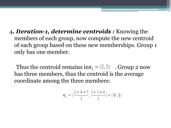4*. Iteration-1, determine centroids :* Knowing the members of each group, now compute the new centroid of each group based on these new memberships. Group 1 only has one member.

Thus the centroid remains in  $\mathbf{r}_1 = (1, 1)$ . Group 2 now has three members, thus the centroid is the average coordinate among the three members:

$$
\mathbf{c}_2 = (\frac{2+4+5}{3}, \frac{1+3+4}{3}) = (\frac{11}{3}, \frac{8}{3})
$$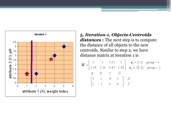

#### **5.** *Iteration-1, Objects-Centroids*

*distances* **:** The next step is to compute the distance of all objects to the new centroids. Similar to step 2, we have distance matrix at iteration 1 is

$$
\mathbf{D}^{1} = \begin{bmatrix} 0 & 1 & 3.61 & 5 \\ 3.14 & 2.36 & 0.47 & 1.89 \end{bmatrix} \begin{matrix} \mathbf{c}_{1} = (1,1) & \text{group}-1 \\ \mathbf{c}_{2} = (\frac{11}{3}, \frac{8}{3}) & \text{group}-2 \\ 4 & B & C & D \end{matrix}
$$
  
\n
$$
\begin{bmatrix} 1 & 2 & 4 & 5 \\ 1 & 1 & 3 & 4 \end{bmatrix} \begin{matrix} X \\ Y \end{matrix}
$$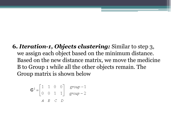**6.** *Iteration-1, Objects clustering:* Similar to step 3, we assign each object based on the minimum distance. Based on the new distance matrix, we move the medicine B to Group 1 while all the other objects remain. The Group matrix is shown below

$$
\mathbf{G}^{1} = \begin{bmatrix} 1 & 1 & 0 & 0 \\ 0 & 0 & 1 & 1 \end{bmatrix} \quad \text{group } -1 \\ A \quad B \quad C \quad D
$$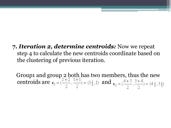**7.** *Iteration 2, determine centroids:* Now we repeat step 4 to calculate the new centroids coordinate based on the clustering of previous iteration.

Group1 and group 2 both has two members, thus the new centroids are  $\mathbf{c}_1 = (\frac{1+2}{2}, \frac{1+1}{2}) = (1\frac{1}{2}, 1)$  and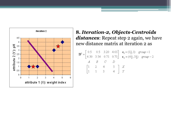

#### **8.** *Iteration-2, Objects-Centroids* distances: Repeat step 2 again, we have new distance matrix at iteration 2 as

$$
\mathbf{D}^{2} = \begin{bmatrix} 0.5 & 0.5 & 3.20 & 4.61 \\ 4.30 & 3.54 & 0.71 & 0.71 \end{bmatrix} \begin{array}{l} \mathbf{c}_{1} = (1\frac{1}{2}, 1) & \text{group}-1 \\ \mathbf{c}_{2} = (4\frac{1}{2}, 3\frac{1}{2}) & \text{group}-2 \\ A & B & C & D \end{array}
$$

$$
\begin{bmatrix} 1 & 2 & 4 & 5 \\ 1 & 1 & 3 & 4 \end{bmatrix} \begin{array}{l} X \\ Y \end{array}
$$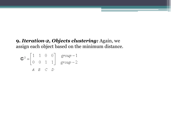#### **9.** *Iteration-2, Objects clustering:* Again, we assign each object based on the minimum distance.

$$
\mathbf{G}^{2} = \begin{bmatrix} 1 & 1 & 0 & 0 \\ 0 & 0 & 1 & 1 \end{bmatrix} \quad \text{group } -1 \text{group } -2
$$
  
*A B C D*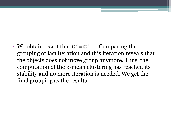• We obtain result that  $G^2 = G^1$ . Comparing the grouping of last iteration and this iteration reveals that the objects does not move group anymore. Thus, the computation of the k-mean clustering has reached its stability and no more iteration is needed. We get the final grouping as the results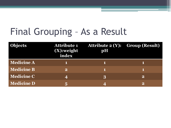### Final Grouping – As a Result

| <b>Objects</b>    | Attribute 1<br>(X):weight<br>index | <b>Attribute 2 (Y): Group (Result)</b><br>pH |          |
|-------------------|------------------------------------|----------------------------------------------|----------|
| <b>Medicine A</b> |                                    |                                              |          |
| <b>Medicine B</b> | $\mathbf{2}^{\prime}$              |                                              |          |
| <b>Medicine C</b> | 4                                  | 3                                            | $\bf{2}$ |
| <b>Medicine D</b> |                                    | 4                                            | $\bf{2}$ |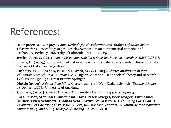### References:

- **MacQueen, J. B. (1967).** *Some Methods for classification and Analysis of Multivariate Observations*, Proceedings of 5th Berkeley Symposium on Mathematical Statistics and Probability, Berkeley, University of California Press, 1:281-297.
- **Bezdek, James C. (1981).** *Pattern Recognition with Fuzzy Objective Function Algorithms*. ISBN 0306406.
- **Finch, H. (2005).** Comparison of distance measures in cluster analysis with dichotomous data. Journal of Data Science, 3, 85-100
- **Huberty, C. J., Jordan, E. M., & Brandt, W. C. (2005).** *Cluster analysis in higher education research*. In J. C. Smart (Ed.), Higher Education: Handbook of Theory and Research (Vol. 20, pp. 437-457). Great Britain: Springer.
- **Hattie (2002).** *Schools Like Mine:* Cluster Analysis of New Zealand Schools. *Technical Report 14, Project asTTle*. University of Auckland.
- **Cornish, (2007).** Cluster Analysis. *Mathematics Learning Support Chapter 3.1*.
- **Ines Färber, Stephan Günnemann, Hans-Peter Kriegel, Peer Kröger, Emmanuel Müller, Erich Schubert, Thomas Seidl, Arthur Zimek (2010)**.*"On Using Class-Labels in Evaluation of Clusterings"*. In Xiaoli Z. Fern, Ian Davidson, Jennifer Dy. *MultiClust: Discovering, Summarizing, and Using Multiple Clusterings*. ACM SIGKDD.